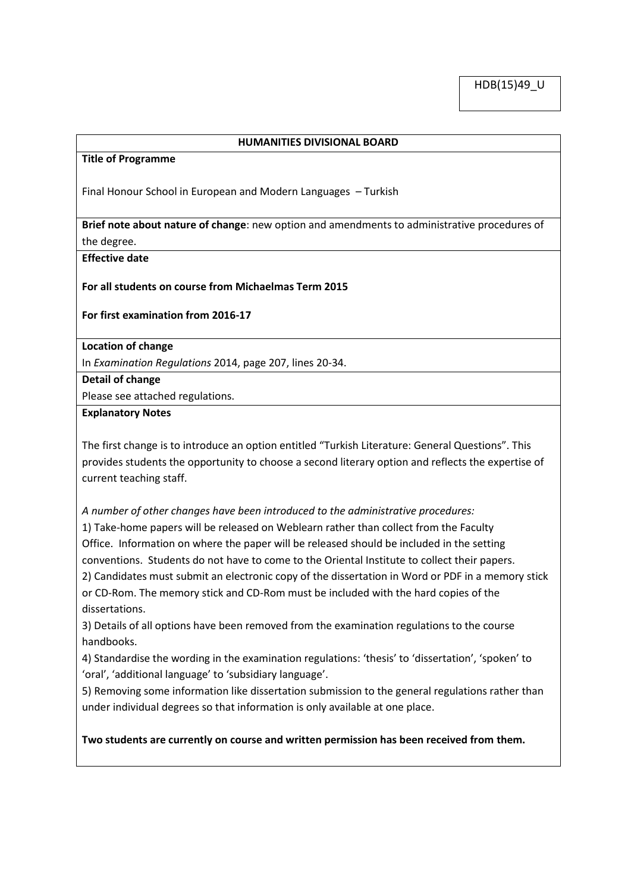## **HUMANITIES DIVISIONAL BOARD**

#### **Title of Programme**

Final Honour School in European and Modern Languages – Turkish

**Brief note about nature of change**: new option and amendments to administrative procedures of the degree.

**Effective date**

**For all students on course from Michaelmas Term 2015**

**For first examination from 2016-17** 

**Location of change**

In *Examination Regulations* 2014, page 207, lines 20-34.

## **Detail of change**

Please see attached regulations.

### **Explanatory Notes**

The first change is to introduce an option entitled "Turkish Literature: General Questions". This provides students the opportunity to choose a second literary option and reflects the expertise of current teaching staff.

*A number of other changes have been introduced to the administrative procedures:*

1) Take-home papers will be released on Weblearn rather than collect from the Faculty Office. Information on where the paper will be released should be included in the setting conventions. Students do not have to come to the Oriental Institute to collect their papers. 2) Candidates must submit an electronic copy of the dissertation in Word or PDF in a memory stick or CD-Rom. The memory stick and CD-Rom must be included with the hard copies of the dissertations.

3) Details of all options have been removed from the examination regulations to the course handbooks.

4) Standardise the wording in the examination regulations: 'thesis' to 'dissertation', 'spoken' to 'oral', 'additional language' to 'subsidiary language'.

5) Removing some information like dissertation submission to the general regulations rather than under individual degrees so that information is only available at one place.

**Two students are currently on course and written permission has been received from them.**